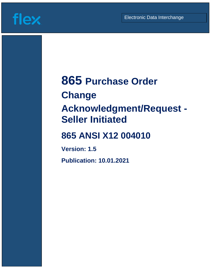Guideline (1986)<br>Guideline (1986)



# **865 Purchase Order**

# **Change**

# **Acknowledgment/Request - Seller Initiated**

# **865 ANSI X12 004010**

**Version: 1.5**

**Publication: 10.01.2021**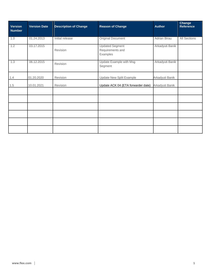| <b>Version</b><br><b>Number</b> | <b>Version Date</b> | <b>Description of Change</b> | <b>Reason of Change</b>                                | <b>Author</b>       | <b>Change</b><br><b>Reference</b> |
|---------------------------------|---------------------|------------------------------|--------------------------------------------------------|---------------------|-----------------------------------|
| 1.0                             | 01.24.2013          | Initial release              | <b>Original Document</b>                               | <b>Adrian Birau</b> | <b>All Sections</b>               |
| 1.2                             | 03.17.2015          | Revision                     | <b>Updated Segment</b><br>Requirements and<br>Examples | Arkadyuti Banik     |                                   |
| 1.3                             | 06.12.2015          | Revision                     | <b>Update Example with Msg</b><br>Segment              | Arkadyuti Banik     |                                   |
| 1.4                             | 01.20.2020          | Revision                     | Update New Split Example                               | Arkadyuti Banik     |                                   |
| 1.5                             | 10.01.2021          | Revision                     | Update ACK 04 (ETA forwarder date)                     | Arkadyuti Banik     |                                   |
|                                 |                     |                              |                                                        |                     |                                   |
|                                 |                     |                              |                                                        |                     |                                   |
|                                 |                     |                              |                                                        |                     |                                   |
|                                 |                     |                              |                                                        |                     |                                   |
|                                 |                     |                              |                                                        |                     |                                   |
|                                 |                     |                              |                                                        |                     |                                   |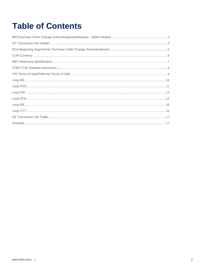# **Table of Contents**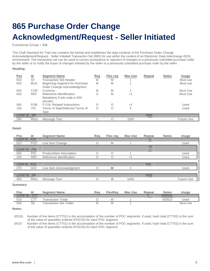# <span id="page-3-0"></span>**865 Purchase Order Change Acknowledgment/Request - Seller Initiated**

Functional Group = **CA**

This Draft Standard for Trial Use contains the format and establishes the data contents of the Purchase Order Change Acknowledgment/Request - Seller Initiated Transaction Set (865) for use within the context of an Electronic Data Interchange (EDI) environment. The transaction set can be used to convey acceptance or rejection of changes to a previously submitted purchase order by the seller or to notify the buyer of changes initiated by the seller to a previously submitted purchase order by the seller.

# **Heading:**

|                     | ld         | <b>Segment Name</b>                                                   | Req        | <b>Flex reg</b> | <b>Max Use</b> | <b>Repeat</b> | <b>Notes</b> | <b>Usage</b>      |
|---------------------|------------|-----------------------------------------------------------------------|------------|-----------------|----------------|---------------|--------------|-------------------|
| $\frac{Pos}{010}$   | <b>ST</b>  | <b>Transaction Set Header</b>                                         | M          | M               |                |               |              | Must use          |
| 020                 | <b>BCA</b> | Beginning Segment for Purchase<br>Order Change Acknowledgment         | M          | M               |                |               |              | Must use          |
| 040                 | <b>CUR</b> | Currency                                                              | M          | M               |                |               |              | Must Use          |
| 050                 | <b>REF</b> | Reference Identification<br>Mandatory if site code is 500<br>(Austin) | Ο          | M               | >1             |               |              | Must Use          |
| 080                 | <b>FOB</b> | F.O.B. Related Instructions                                           | $\bigcirc$ | Ω               | >1             |               |              | Used              |
| 130                 | <b>ITD</b> | Terms of Sale/Deferred Terms of<br>Sale                               | $\bigcirc$ | Ω               | 5              |               |              | Used              |
| <b>LOOP ID - N9</b> |            |                                                                       |            |                 |                | 1000          |              |                   |
| 290                 | <b>MSG</b> | Message Text                                                          |            | ∩               | 1000           |               |              | <b>Future Use</b> |

# **Detail:**

| Pos                  | Id         | <b>Segment Name</b>      | Rea | Flex reg | <b>Max Use</b> | Repeat | <b>Notes</b> | <b>Usage</b>      |
|----------------------|------------|--------------------------|-----|----------|----------------|--------|--------------|-------------------|
| <b>LOOP ID - POC</b> |            |                          |     |          |                |        |              |                   |
| 010                  | <b>POC</b> | Line Item Change         |     | M        |                |        |              | Used              |
| <b>LOOP ID - PID</b> |            |                          |     |          |                | 100    |              |                   |
| 050                  | <b>PID</b> | Product/Item Description |     |          |                |        |              | Used              |
| 100                  | <b>REF</b> | Reference Identification |     |          | >1             |        |              | Used              |
|                      |            |                          |     |          |                |        |              |                   |
| <b>LOOP ID - ACK</b> |            |                          |     |          |                | 104    |              |                   |
| 270                  | <b>ACK</b> | Line Item Acknowledgment |     | M        |                |        |              | Used              |
|                      |            |                          |     |          |                |        |              |                   |
| LOOP ID - N9         |            |                          |     |          |                | 1000   |              |                   |
| 360                  | <b>MSG</b> | Message Text             |     | $\Omega$ | 1000           |        |              | <b>Future Use</b> |
|                      |            |                          |     |          |                |        |              |                   |

**Summary:**

| Pos         |                 | <b>Seament Name</b>            | Rea | FlexRea | <b>Max Use</b> | <b>Repeat</b> | <b>Notes</b> | Usage    |
|-------------|-----------------|--------------------------------|-----|---------|----------------|---------------|--------------|----------|
| $O$ $O$ $P$ | <b>TID - C.</b> |                                |     |         |                |               |              |          |
| 010         |                 | Fransaction Totals             |     |         |                |               | N3/010       | Used     |
| 030         | SE              | <b>Fransaction Set Trailer</b> |     |         |                |               |              | Must use |

## **Notes:**

3/010L Number of line items (CTT01) is the accumulation of the number of POC segments. If used, hash total (CTT02) is the sum of the value of quantities ordered (POC03) for each POC segment.

3/010 Number of line items (CTT01) is the accumulation of the number of POC segments. If used, hash total (CTT02) is the sum of the value of quantities ordered (POC03) for each POC segment.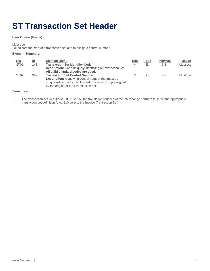# <span id="page-4-0"></span>**ST Transaction Set Header**

# **User Option (Usage):**

Must use

To indicate the start of a transaction set and to assign a control number

# **Element Summary:**

| $Ref$            | Id  | <b>Element Name</b>                                             | Req | Type | Min/Max | Usage    |
|------------------|-----|-----------------------------------------------------------------|-----|------|---------|----------|
| ST <sub>01</sub> | 143 | <b>Transaction Set Identifier Code</b>                          | M   | ID   | 3/3     | Must use |
|                  |     | <b>Description:</b> Code uniquely identifying a Transaction Set |     |      |         |          |
|                  |     | All valid standard codes are used.                              |     |      |         |          |
| ST <sub>02</sub> | 329 | <b>Transaction Set Control Number</b>                           | M   | AN   | 4/9     | Must use |
|                  |     | <b>Description:</b> Identifying control number that must be     |     |      |         |          |
|                  |     | unique within the transaction set functional group assigned     |     |      |         |          |
|                  |     | by the originator for a transaction set                         |     |      |         |          |

## **Semantics:**

1. The transaction set identifier (ST01) used by the translation routines of the interchange partners to select the appropriate transaction set definition (e.g., 810 selects the Invoice Transaction Set).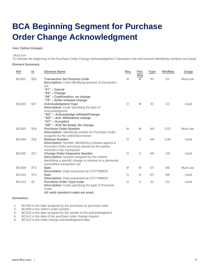# <span id="page-5-0"></span>**BCA Beginning Segment for Purchase Order Change Acknowledgment**

# **User Option (Usage):**

#### Must use

To indicate the beginning of the Purchase Order Change Acknowledgment Transaction Set and transmit identifying numbers and dates

## **Element Summary:**

| Ref               | Id  | <b>Element Name</b>                                                                                                                                                                                                           | Req      | <b>Flex</b><br>Req | <b>Type</b> | Min/Max | <b>Usage</b> |
|-------------------|-----|-------------------------------------------------------------------------------------------------------------------------------------------------------------------------------------------------------------------------------|----------|--------------------|-------------|---------|--------------|
| BCA01             | 353 | <b>Transaction Set Purpose Code</b><br><b>Description:</b> Code identifying purpose of transaction<br>set<br>" $01"$ – Cancel<br>" $04"$ – Change<br>"06" - Confirmation, no change                                           | M        | M                  | ID          | 2/2     | Must use     |
| BCA02             | 587 | "19" - Seller Initiated change.<br><b>Acknowledgment Type</b><br><b>Description:</b> Code specifying the type of<br>acknowledgment<br>"AC" - Acknowledge w/Detail/Change<br>"AD" - Ack. W/Detail/no change<br>"AT" - Accepted | $\circ$  | M                  | ID          | 2/2     | Used         |
| BCA03             | 324 | "AK" - ACK No Detail, No change.<br><b>Purchase Order Number</b><br><b>Description:</b> Identifying number for Purchase Order                                                                                                 | M        | M                  | AN          | 1/22    | Must use     |
| BCA04             | 328 | assigned by the orderer/purchaser<br><b>Release Number</b><br><b>Description:</b> Number identifying a release against a<br>Purchase Order previously placed by the parties<br>involved in the transaction                    | $\circ$  | $\circ$            | AN          | 1/30    | Used         |
| BCA05             | 327 | <b>Change Order Sequence Number</b><br><b>Description:</b> Number assigned by the orderer<br>identifying a specific change or revision to a previously<br>transmitted transaction set                                         | $\circ$  | $\circ$            | AN          | 1/8     | Used         |
| BCA06             | 373 | Date<br>Description: Date expressed as CCYYMMDD                                                                                                                                                                               | M        | M                  | DT          | 8/8     | Must use     |
| BCA10             | 373 | <b>Date</b><br><b>Description: Date expressed as CCYYMMDD</b>                                                                                                                                                                 | $\Omega$ | $\circ$            | DT          | 8/8     | Used         |
| BCA <sub>13</sub> | 92  | <b>Purchase Order Type Code</b><br><b>Description:</b> Code specifying the type of Purchase<br>Order                                                                                                                          | $\circ$  | $\circ$            | ID          | 2/2     | Used         |

### **All valid standard codes are used.**

# **Semantics:**

1. BCA06 is the date assigned by the purchaser to purchase order.<br>2. BCA09 is the seller's order number.

BCA09 is the seller's order number.

- 3. BCA10 is the date assigned by the sender to the acknowledgment.
- 4. BCA11 is the date of the purchase order change request.
- 5. BCA12 is the order change acknowledgment date.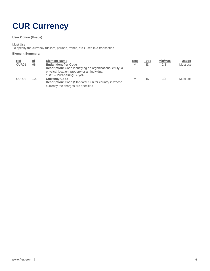# <span id="page-6-0"></span>**CUR Currency**

# **User Option (Usage):**

Must Use

To specify the currency (dollars, pounds, francs, etc.) used in a transaction

# **Element Summary:**

| <b>Ref</b>        | Id  | <b>Element Name</b>                                                                                                                                                           | Req | Type | Min/Max | Usage    |
|-------------------|-----|-------------------------------------------------------------------------------------------------------------------------------------------------------------------------------|-----|------|---------|----------|
| CUR <sub>01</sub> | 98  | <b>Entity Identifier Code</b><br><b>Description:</b> Code identifying an organizational entity, a<br>physical location, property or an individual<br>"BY" - Purchasing Buyer. | M   | ID   | 2/3     | Must use |
| CUR <sub>02</sub> | 100 | <b>Currency Code</b><br>Description: Code (Standard ISO) for country in whose<br>currency the charges are specified                                                           | M   | ID   | 3/3     | Must use |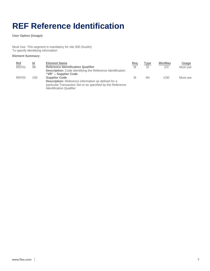# <span id="page-7-0"></span>**REF Reference Identification**

**User Option (Usage):**

Must Use. This segment is mandatory for site 500 (Austin) To specify identifying information

# **Element Summary:**

| Ref<br>REF01      | Id<br>98 | <b>Element Name</b><br><b>Reference Identification Qualifier</b><br><b>Description:</b> Code identifying the Reference Identification<br>"VR" – Supplier Code                        | Req<br>M | Type<br>ID | <b>Min/Max</b><br>2/3 | Usage<br>Must use |
|-------------------|----------|--------------------------------------------------------------------------------------------------------------------------------------------------------------------------------------|----------|------------|-----------------------|-------------------|
| REF <sub>02</sub> | 100      | <b>Supplier Code</b><br><b>Description:</b> Reference information as defined for a<br>particular Transaction Set or as specified by the Reference<br><b>Identification Qualifier</b> | M        | AN         | 1/30                  | Must use          |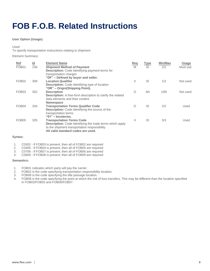# <span id="page-8-0"></span>**FOB F.O.B. Related Instructions**

# **User Option (Usage):**

## Used

To specify transportation instructions relating to shipment

Element Summary:

| Ref<br>FOB01      | $\underline{\mathsf{Id}}$<br>146 | <b>Element Name</b><br><b>Shipment Method of Payment</b><br><b>Description:</b> Code identifying payment terms for                                                                          | Req<br>M   | <b>Type</b><br>ID | Min/Max<br>2/2 | <b>Usage</b><br>Must use |
|-------------------|----------------------------------|---------------------------------------------------------------------------------------------------------------------------------------------------------------------------------------------|------------|-------------------|----------------|--------------------------|
| FOB <sub>02</sub> | 309                              | transportation charges<br>"DF" - Defined by buyer and seller.<br><b>Location Qualifier</b><br><b>Description:</b> Code identifying type of location                                         | X          | ID                | 1/2            | Not used                 |
| FOB <sub>03</sub> | 352                              | "OR" – Origin(Shipping Point).<br><b>Description</b><br><b>Description:</b> A free-form description to clarify the related<br>data elements and their content                               | $\bigcirc$ | AN                | 1/80           | Not used                 |
| FOB <sub>04</sub> | 334                              | <b>Namespace</b><br><b>Transportation Terms Qualifier Code</b><br><b>Description:</b> Code identifying the source of the<br>transportation terms<br>" $01"$ – Incoterms.                    | $\Omega$   | ID                | 2/2            | Used                     |
| FOB <sub>05</sub> | 335                              | <b>Transportation Terms Code</b><br><b>Description:</b> Code identifying the trade terms which apply<br>to the shipment transportation responsibility<br>All valid standard codes are used. | X          | ID                | 3/3            | Used                     |

# **Syntax:**

1. C0302 - If FOB03 is present, then all of FOB02 are required

2. C0405 - If FOB04 is present, then all of FOB05 are required

3. C0706 - If FOB07 is present, then all of FOB06 are required

4. C0809 - If FOB08 is present, then all of FOB09 are required

# **Semantics:**

1. FOB01 indicates which party will pay the carrier.

2. FOB02 is the code specifying transportation responsibility location.

3. FOB06 is the code specifying the title passage location.

4. FOB08 is the code specifying the point at which the risk of loss transfers. This may be different than the location specified in FOB02/FOB03 and FOB06/FOB07.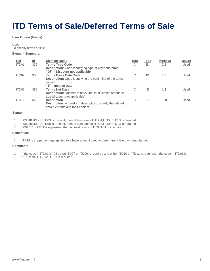# <span id="page-9-0"></span>**ITD Terms of Sale/Deferred Terms of Sale**

**User Option (Usage):**

Used To specify terms of sale

## **Element Summary:**

| <u>Ref</u><br>ITD01 | $\underline{\mathsf{Id}}$<br>336 | <b>Element Name</b><br><b>Terms Type Code</b>                                                                                                                                            | Req<br>$\Omega$ | <b>Type</b><br>ID | <b>Min/Max</b><br>2/2 | <b>Usage</b><br>Used |
|---------------------|----------------------------------|------------------------------------------------------------------------------------------------------------------------------------------------------------------------------------------|-----------------|-------------------|-----------------------|----------------------|
| ITD <sub>02</sub>   | 333                              | <b>Description:</b> Code identifying type of payment terms<br>"05" – Discount not applicable<br><b>Terms Basis Date Code</b><br>Description: Code identifying the beginning of the terms | Ω               | ID                | 1/2                   | Used                 |
| ITD <sub>07</sub>   | 386                              | period<br>"3" - Invoice Date.<br><b>Terms Net Days</b><br><b>Description:</b> Number of days until total invoice amount is                                                               | O               | N <sub>0</sub>    | 1/3                   | Used                 |
| ITD <sub>12</sub>   | 352                              | due (discount not applicable)<br><b>Description</b><br><b>Description:</b> A free-form description to clarify the related<br>data elements and their content                             | Ω               | AN                | 1/80                  | Used                 |

# **Syntax:**

- 1. L03040513 If ITD03 is present, then at least one of ITD04,ITD05,ITD13 is required
- 2. L08040513 If ITD08 is present, then at least one of ITD04,ITD05,ITD13 is required
- 3. L091011 If ITD09 is present, then at least one of ITD10,ITD11 is required

### **Semantics:**

1. ITD15 is the percentage applied to a base amount used to determine a late payment charge.

# **Comments:**

1. If the code in ITD01 is "04", then ITD07 or ITD09 is required and either ITD10 or ITD11 is required; if the code in ITD01 is "05", then ITD06 or ITD07 is required.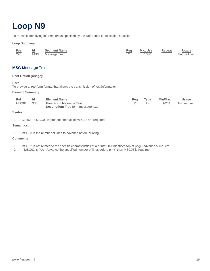# <span id="page-10-0"></span>**Loop N9**

To transmit identifying information as specified by the Reference Identification Qualifier

**Loop Summary:**

| Pos | Id | <b>Segment Name</b> | Req | Max Use | Repeat | <u>Usage</u>      |
|-----|----|---------------------|-----|---------|--------|-------------------|
| 290 |    | MSG Message Text    |     | 1000    |        | <b>Future Use</b> |

# **MSG Message Text**

# **User Option (Usage):**

Used

To provide a free-form format that allows the transmission of text information

## **Element Summary:**

| <u>Ref</u><br>MSG01 | $\sim$<br>933 | <b>Element Name</b><br><b>Free-Form Message Text</b><br><b>Description:</b> Free-form message text | <u>Req</u> | Type<br>ΑN | Min/Max<br>1/264 | <u>Usage</u><br>Future use |
|---------------------|---------------|----------------------------------------------------------------------------------------------------|------------|------------|------------------|----------------------------|
| __                  |               |                                                                                                    |            |            |                  |                            |

# **Syntax:**

1. C0302 - If MSG03 is present, then all of MSG02 are required

## **Semantics:**

1. MSG03 is the number of lines to advance before printing.

# **Comments:**

- 1. MSG02 is not related to the specific characteristics of a printer, but identifies top of page, advance a line, etc.
- 2. If MSG02 is "AA Advance the specified number of lines before print" then MSG03 is required.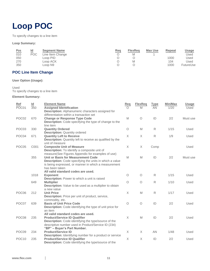# <span id="page-11-0"></span>**Loop POC**

To specify changes to a line item

## **Loop Summary:**

|                   | Id  | <b>Segment Name</b>                 | Req | <b>FlexReg</b> | <b>Max Use</b> | Repeat | <u>Usage</u> |
|-------------------|-----|-------------------------------------|-----|----------------|----------------|--------|--------------|
| $\frac{Pos}{010}$ | POC | Line Item Change                    |     | M              |                |        | Used         |
| 050               |     | Loop PID                            |     |                |                | 1000   | Used         |
| 270               |     | Loop ACK                            |     | M              |                | 104    | Used         |
| 350               |     | $\textcolor{red}{\mathsf{Loop}}$ N9 |     |                |                | 1000   | FutureUse    |

# **POC Line Item Change**

# **User Option (Usage):**

Used To specify changes to a line item

# **Element Summary:**

| Ref               | Id   | <b>Element Name</b>                                                                                                                                                                                                | Req      | <b>FlexReq</b> | <b>Type</b>  | Min/Max | <b>Usage</b> |
|-------------------|------|--------------------------------------------------------------------------------------------------------------------------------------------------------------------------------------------------------------------|----------|----------------|--------------|---------|--------------|
| POC01             | 350  | <b>Assigned Identification</b><br>Description: Alphanumeric characters assigned for                                                                                                                                | ∩        | M              | AN           | 1/20    | Used         |
| POC <sub>02</sub> | 670  | differentiation within a transaction set<br><b>Change or Response Type Code</b><br><b>Description:</b> Code specifying the type of change to the                                                                   | M        | $\circ$        | ID           | 2/2     | Must use     |
| POC03             | 330  | line item<br><b>Quantity Ordered</b>                                                                                                                                                                               | $\circ$  | M              | R            | 1/15    | Used         |
| POC04             | 671  | <b>Description: Quantity ordered</b><br><b>Quantity Left to Receive</b><br>Description: Quantity left to receive as qualified by the                                                                               | $\times$ | X              | $\mathsf{R}$ | 1/9     | Used         |
| POC05             | C001 | unit of measure<br><b>Composite Unit of Measure</b><br>Description: To identify a composite unit of                                                                                                                | X        | $\mathsf X$    | Comp         |         | Used         |
|                   | 355  | measure (See Figures Appendix for examples of use)<br>Unit or Basis for Measurement Code<br><b>Description:</b> Code specifying the units in which a value<br>is being expressed, or manner in which a measurement | M        | M              | ID           | 2/2     | Must use     |
|                   | 1018 | has been taken<br>All valid standard codes are used.<br><b>Exponent</b>                                                                                                                                            | $\circ$  | $\circ$        | $\mathsf{R}$ | 1/15    | Used         |
|                   | 649  | Description: Power to which a unit is raised<br><b>Multiplier</b><br>Description: Value to be used as a multiplier to obtain                                                                                       | $\circ$  | $\circ$        | $\mathsf{R}$ | 1/10    | Used         |
| POC06             | 212  | a new value<br><b>Unit Price</b><br><b>Description:</b> Price per unit of product, service,                                                                                                                        | $\times$ | M              | $\mathsf{R}$ | 1/17    | Used         |
| POC07             | 639  | commodity, etc.<br><b>Basis of Unit Price Code</b><br>Description: Code identifying the type of unit price for                                                                                                     | $\circ$  | $\circ$        | ID           | 2/2     | Used         |
| POC08             | 235  | an item<br>All valid standard codes are used.<br><b>Product/Service ID Qualifier</b><br>Description: Code identifying the type/source of the<br>descriptive number used in Product/Service ID (234)                | X        | M              | ID           | 2/2     | Used         |
| POC <sub>09</sub> | 234  | "BP" - Buyer's Part Number.<br><b>Product/Service ID</b>                                                                                                                                                           | $\times$ | X              | AN           | 1/48    | Used         |
| POC <sub>10</sub> | 235  | <b>Description:</b> Identifying number for a product or service<br><b>Product/Service ID Qualifier</b><br><b>Description:</b> Code identifying the type/source of the                                              | X        | X              | ID           | 2/2     | Used         |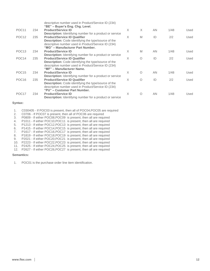|                   |     | descriptive number used in Product/Service ID (234)<br>"BE" – Buyer's Eng. Chg. Level. |          |            |     |      |      |
|-------------------|-----|----------------------------------------------------------------------------------------|----------|------------|-----|------|------|
| POC <sub>11</sub> | 234 | <b>Product/Service ID</b>                                                              | X        | $\times$   | AN  | 1/48 | Used |
|                   |     | <b>Description:</b> Identifying number for a product or service                        |          |            |     |      |      |
| POC <sub>12</sub> | 235 | <b>Product/Service ID Qualifier</b>                                                    | X        | M          | ID  | 2/2  | Used |
|                   |     | <b>Description:</b> Code identifying the type/source of the                            |          |            |     |      |      |
|                   |     | descriptive number used in Product/Service ID (234)                                    |          |            |     |      |      |
|                   |     | "MG" - Manufacturer Part Number.                                                       |          |            |     |      |      |
| POC <sub>13</sub> | 234 | <b>Product/Service ID</b>                                                              | X        | M          | AN  | 1/48 | Used |
|                   |     | <b>Description:</b> Identifying number for a product or service                        |          |            |     |      |      |
| POC <sub>14</sub> | 235 | <b>Product/Service ID Qualifier</b>                                                    | X        | O          | ID  | 2/2  | Used |
|                   |     | <b>Description:</b> Code identifying the type/source of the                            |          |            |     |      |      |
|                   |     | descriptive number used in Product/Service ID (234)                                    |          |            |     |      |      |
|                   |     | "MF" - Manufacturer Name.                                                              |          |            |     |      |      |
| POC <sub>15</sub> | 234 | <b>Product/Service ID</b>                                                              | X        | $\bigcirc$ | AN. | 1/48 | Used |
|                   |     | <b>Description:</b> Identifying number for a product or service                        |          |            |     |      |      |
| POC <sub>16</sub> | 235 | <b>Product/Service ID Qualifier</b>                                                    | $\times$ | $\bigcirc$ | ID  | 2/2  | Used |
|                   |     | <b>Description:</b> Code identifying the type/source of the                            |          |            |     |      |      |
|                   |     | descriptive number used in Product/Service ID (234)                                    |          |            |     |      |      |
|                   |     | "PU" – Customer Part Number.                                                           |          |            |     |      |      |
| POC <sub>17</sub> | 234 | <b>Product/Service ID</b>                                                              | X        | $\bigcirc$ | AN  | 1/48 | Used |
|                   |     | <b>Description:</b> Identifying number for a product or service                        |          |            |     |      |      |

# **Syntax:**

1. C030405 - If POC03 is present, then all of POC04,POC05 are required

- 2. C0706 If POC07 is present, then all of POC06 are required
- 3. P0809 If either POC08,POC09 is present, then all are required
- 4. P1011 If either POC10,POC11 is present, then all are required
- 5. P1213 If either POC12,POC13 is present, then all are required
- 6. P1415 If either POC14,POC15 is present, then all are required
- 7. P1617 If either POC16,POC17 is present, then all are required
- 8. P1819 If either POC18,POC19 is present, then all are required
- 9. P2021 If either POC20,POC21 is present, then all are required
- 10. P2223 If either POC22,POC23 is present, then all are required
- 11. P2425 If either POC24,POC25 is present, then all are required
- 12. P2627 If either POC26,POC27 is present, then all are required

# **Semantics:**

1. POC01 is the purchase order line item identification.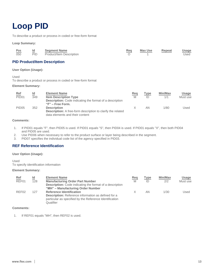# <span id="page-13-0"></span>**Loop PID**

To describe a product or process in coded or free-form format

### **Loop Summary:**

| $rac{\text{Pos}}{050}$ | ld<br>$\sim$ | <b>Segment Name</b>      | <u>Req</u> | Max Use | Repeat | <b>Usage</b> |
|------------------------|--------------|--------------------------|------------|---------|--------|--------------|
|                        | <b>PID</b>   | Product/Item Description |            |         |        | Used         |

# **PID Product/Item Description**

**User Option (Usage):**

Used

To describe a product or process in coded or free-form format

### **Element Summary:**

| <b>Ref</b><br>PID <sub>01</sub> | Id<br>349 | <b>Element Name</b><br><b>Item Description Type</b><br><b>Description:</b> Code indicating the format of a description                            | Req<br>M | Type<br>ID | <b>Min/Max</b><br>1/1 | Usage<br>Must use |
|---------------------------------|-----------|---------------------------------------------------------------------------------------------------------------------------------------------------|----------|------------|-----------------------|-------------------|
| PID <sub>05</sub>               | 352       | $"F"$ – Free Form.<br><b>Description</b><br><b>Description:</b> A free-form description to clarify the related<br>data elements and their content |          | AN         | 1/80                  | Used              |

# **Comments:**

- 1. If PID01 equals "F", then PID05 is used. If PID01 equals "S", then PID04 is used. If PID01 equals "X", then both PID04 and PID05 are used.
- 2. Use PID06 when necessary to refer to the product surface or layer being described in the segment.

3. PID07 specifies the individual code list of the agency specified in PID03.

# **REF Reference Identification**

## **User Option (Usage):**

Used To specify identification information

# **Element Summary:**

| <u>Ref</u>        | Id  | <b>Element Name</b>                                                                                                                                                   | Req | Type | <b>Min/Max</b> | Usage    |
|-------------------|-----|-----------------------------------------------------------------------------------------------------------------------------------------------------------------------|-----|------|----------------|----------|
| REF01             | 128 | <b>Manufacturing Order Part Number</b><br><b>Description:</b> Code indicating the format of a description<br>"MH" - Manufacturing Order Number                        | M   | ID   | 2/2            | Must use |
| REF <sub>02</sub> | 127 | <b>Reference Identification</b><br><b>Description:</b> Reference information as defined for a<br>particular as specified by the Reference Identification<br>Qualifier |     | ΑN   | 1/30           | Used     |

## **Comments:**

1. If REF01 equals "MH", then REF02 is used.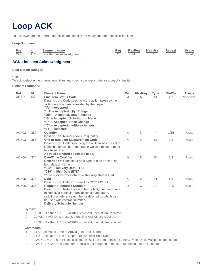# <span id="page-14-0"></span>**Loop ACK**

To acknowledge the ordered quantities and specify the ready date for a specific line item

### **Loop Summary:**

| Pos | ld | <b>Segment Name</b>          | Req | FlexReq | Max Use | Repeat | <b>Usage</b> |
|-----|----|------------------------------|-----|---------|---------|--------|--------------|
| 270 |    | ACK Line Item Acknowledgment |     |         |         |        | Used         |

# **ACK Line Item Acknowledgment**

## **User Option (Usage):**

Used

To acknowledge the ordered quantities and specify the ready date for a specific line item

### **Element Summary:**

| Ref<br>ACK01 | Id<br>668 | <b>Element Name</b><br><b>Line Item Status Code</b><br><b>Description:</b> Code specifying the action taken by the<br>seller on a line item requested by the buyer<br>" $A$ " – Accepted<br>"IQ" - Accepted, Qty Change<br>"DR" – Accepted, Date Resched<br>"IS" - Accepted, Substitution Made<br>"IP" - Accepted, Price Change<br>"IC" - Accepted, multiple changes<br>" $IR"$ – Rejected | Reg<br>M | <b>FlexReg</b><br>M | <b>Type</b><br>ID | Min/Max<br>2/2 | <b>Usage</b><br>Must use |
|--------------|-----------|--------------------------------------------------------------------------------------------------------------------------------------------------------------------------------------------------------------------------------------------------------------------------------------------------------------------------------------------------------------------------------------------|----------|---------------------|-------------------|----------------|--------------------------|
| ACK02        | 380       | Quantity                                                                                                                                                                                                                                                                                                                                                                                   | X        | M                   | R                 | 1/15           | Used                     |
| ACK03        | 355       | <b>Description:</b> Numeric value of quantity<br>Unit or Basis for Measurement Code<br><b>Description:</b> Code specifying the units in which a value<br>is being expressed, or manner in which a measurement<br>has been taken                                                                                                                                                            | X        | $\times$            | ID                | 2/2            | Used                     |
| ACK04        | 374       | All valid standard codes are used.<br><b>Date/Time Qualifier</b><br><b>Description:</b> Code specifying type of date or time, or<br>both date and time<br>"002" - Delivery Date(ETA)<br>"010" $-$ Ship Date (ETD)<br>"065"- Forwarder Schedule Delivery Date (FETA)                                                                                                                        | $\circ$  | M                   | ID                | 3/3            | Used                     |
| ACK05        | 373       | Date<br><b>Description:</b> Date expressed as CCYYMMDD                                                                                                                                                                                                                                                                                                                                     | X        | M                   | DT                | 8/8            | Used                     |
| ACK06        | 326       | <b>Request Reference Number</b><br><b>Description:</b> Reference number or RFQ number to use<br>to identify a particular transaction set and query<br>(additional reference number or description which can<br>be used with contract number)<br><b>Delivery Schedule Number</b>                                                                                                            | $\circ$  | $\circ$             | AN                | 1/45           | Used                     |

### **Syntax:**

- 1. P0203 If either ACK02, ACK03 is present, then all are required
- 2. C0405 If ACK04 is present, then all of ACK05 are required
- 3. P0708 If either ACK07, ACK08 is present, then all are required

# **Comments:**

- 1. ETA Estimated Time of Arrival (Flex Dock Date)
- 2. ETD Estimated Time of Departure (Supplier Ship Date)
- 3. If ACK01 = IA, Then Please stick to the PO Line Item details (Quantity, Price, Date, Multiple changes etc)
- 4. If ACK01 != IA, Then Line Item Details is not adhering to the corresponding Flex PO Line Item.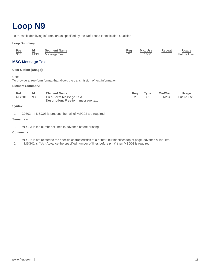# <span id="page-15-0"></span>**Loop N9**

To transmit identifying information as specified by the Reference Identification Qualifier

**Loop Summary:**

| Pos<br>360 | Id<br>$\sim$<br><b>MSG</b> | <b>Segment Name</b><br>Message Text | Req | Max Use<br>1000 | Repeat | <b>Usage</b><br><b>Future Use</b> |
|------------|----------------------------|-------------------------------------|-----|-----------------|--------|-----------------------------------|
|            |                            |                                     |     |                 |        |                                   |

# **MSG Message Text**

**User Option (Usage):**

Used

To provide a free-form format that allows the transmission of text information

## **Element Summary:**

| <u>Ref</u><br>MSG01 | Id<br>$-$<br>933 | <b>Element Name</b><br><b>Free-Form Message Text</b><br><b>Description:</b> Free-form message text | Req | Type<br>ΑN | <b>Min/Max</b><br>1/264 | <u>Usage</u><br>Future use |
|---------------------|------------------|----------------------------------------------------------------------------------------------------|-----|------------|-------------------------|----------------------------|
|                     |                  |                                                                                                    |     |            |                         |                            |

# **Syntax:**

1. C0302 - If MSG03 is present, then all of MSG02 are required

# **Semantics:**

1. MSG03 is the number of lines to advance before printing.

# **Comments:**

- 1. MSG02 is not related to the specific characteristics of a printer, but identifies top of page, advance a line, etc.
- 2. If MSG02 is "AA Advance the specified number of lines before print" then MSG03 is required.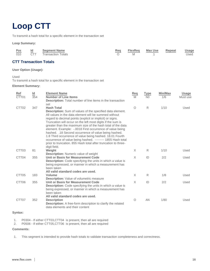# <span id="page-16-0"></span>**Loop CTT**

To transmit a hash total for a specific element in the transaction set

# **Loop Summary:**

| Pos | ld | <b>Segment Name</b>        | Req |   | FlexReg Max Use | Repeat | <b>Usage</b> |
|-----|----|----------------------------|-----|---|-----------------|--------|--------------|
|     |    | 010 CTT Transaction Totals |     | M |                 |        | Used         |

# **CTT Transaction Totals**

# **User Option (Usage):**

Used

To transmit a hash total for a specific element in the transaction set

# **Element Summary:**

| Ref<br>CTT01      | $\frac{\mathsf{Id}}{354}$ | <b>Element Name</b><br><b>Number of Line Items</b><br><b>Description:</b> Total number of line items in the transaction                                                                                                                                                                                                                                                                                                                                                                                                                                                                                                                                            | Req<br>M | <b>Type</b><br>N <sub>0</sub> | Min/Max<br>1/6 | <b>Usage</b><br>Must use |
|-------------------|---------------------------|--------------------------------------------------------------------------------------------------------------------------------------------------------------------------------------------------------------------------------------------------------------------------------------------------------------------------------------------------------------------------------------------------------------------------------------------------------------------------------------------------------------------------------------------------------------------------------------------------------------------------------------------------------------------|----------|-------------------------------|----------------|--------------------------|
| CTT <sub>02</sub> | 347                       | set<br><b>Hash Total</b><br><b>Description:</b> Sum of values of the specified data element.<br>All values in the data element will be summed without<br>regard to decimal points (explicit or implicit) or signs.<br>Truncation will occur on the left most digits if the sum is<br>greater than the maximum size of the hash total of the data<br>element. Example: -. 0018 First occurrence of value being<br>hashed. .18 Second occurrence of value being hashed.<br>1.8 Third occurrence of value being hashed. 18.01 Fourth<br>occurrence of value being hashed. --------- 1855 Hash total<br>prior to truncation. 855 Hash total after truncation to three- | $\circ$  | $\mathsf{R}$                  | 1/10           | Used                     |
| CTT <sub>03</sub> | 81                        | digit field.<br>Weight<br><b>Description:</b> Numeric value of weight                                                                                                                                                                                                                                                                                                                                                                                                                                                                                                                                                                                              | X        | R                             | 1/10           | Used                     |
| CTT04             | 355                       | Unit or Basis for Measurement Code<br><b>Description:</b> Code specifying the units in which a value is<br>being expressed, or manner in which a measurement has<br>been taken<br>All valid standard codes are used.                                                                                                                                                                                                                                                                                                                                                                                                                                               | $\times$ | ID                            | 2/2            | Used                     |
| CTT <sub>05</sub> | 183                       | <b>Volume</b><br><b>Description:</b> Value of volumetric measure                                                                                                                                                                                                                                                                                                                                                                                                                                                                                                                                                                                                   | X        | R                             | 1/8            | Used                     |
| CTT06             | 355                       | Unit or Basis for Measurement Code<br><b>Description:</b> Code specifying the units in which a value is<br>being expressed, or manner in which a measurement has<br>been taken<br>All valid standard codes are used.                                                                                                                                                                                                                                                                                                                                                                                                                                               | $\times$ | ID                            | 2/2            | Used                     |
| CTT07             | 352                       | <b>Description</b><br>Description: A free-form description to clarify the related<br>data elements and their content                                                                                                                                                                                                                                                                                                                                                                                                                                                                                                                                               | $\circ$  | AN                            | 1/80           | Used                     |

# **Syntax:**

1. P0304 - If either CTT03, CTT04 is present, then all are required<br>2. P0506 - If either CTT05, CTT06 is present, then all are required

2. P0506 - If either CTT05,CTT06 is present, then all are required

## **Comments:**

1. This segment is intended to provide hash totals to validate transaction completeness and correctness.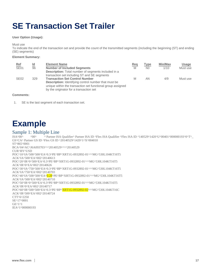# <span id="page-17-0"></span>**SE Transaction Set Trailer**

# **User Option (Usage):**

### Must use

To indicate the end of the transaction set and provide the count of the transmitted segments (including the beginning (ST) and ending (SE) segments)

## **Element Summary:**

| Ref              | Id  | <b>Element Name</b>                                         | Req | Type           | <b>Min/Max</b> | Usage    |
|------------------|-----|-------------------------------------------------------------|-----|----------------|----------------|----------|
| SE01             | 96  | <b>Number of Included Segments</b>                          | M   | N <sub>0</sub> | 1/10           | Must use |
|                  |     | <b>Description:</b> Total number of segments included in a  |     |                |                |          |
|                  |     | transaction set including ST and SE segments                |     |                |                |          |
| SE <sub>02</sub> | 329 | <b>Transaction Set Control Number</b>                       | M   | ΑN             | 4/9            | Must use |
|                  |     | <b>Description:</b> Identifying control number that must be |     |                |                |          |
|                  |     | unique within the transaction set functional group assigned |     |                |                |          |
|                  |     | by the originator for a transaction set                     |     |                |                |          |

## **Comments:**

1. SE is the last segment of each transaction set.

# **Example**

# Sample 1: Multiple Line

^ Partner ISA Qualifier^ Partner ISA ID ^Flex ISA Qualifier ^Flex ISA ID ^140529^1420^U^00401^000000193^0^T^\_ GS^CA^ Partner GS ID ^Flex GS ID ^20140529^1420^1^X^004010 ST^865^0001 BCA^04^AC^J6A093703^^^20140529^^^^20140529 CUR^BY^USD POC^10^IA^500^500^EA^0.3^PE^BP^XRT1G-0932892-01^^^MG^530L104KT16T5 ACK^IA^500^EA^002^20140613 POC^20^IR^0^500^EA^0.3^PE^BP^XRT1G-0932892-01^^^MG^530L104KT16T5 ACK^IR^0^EA^002^20140626 POC^30^IA^750^500^EA^0.3^PE^BP^XRT1G-0932892-01^^^MG^530L104KT16T5 ACK^IA^750^EA^002^20140703 POC^40^IA^500^500^EA^0.28^PE^BP^XRT1G-0932892-01^^^MG^530L104KT16T5 ACK^IA^500^EA^002^20140710 POC^50^IR^0^500^EA^0.3^PE^BP^XRT1G-0932892-01^^^MG^530L104KT16T5 ACK^IR^0^EA^002^20140717 POC^60^IR^500^500^EA^0.3^PE^BP^XRT1G-0932892-02^^^MG^530L104KT16C ACK^IR^500^EA^002^20140724 CTT^6^2250 SE^17^0001 GE^1^1 IEA^1^000000193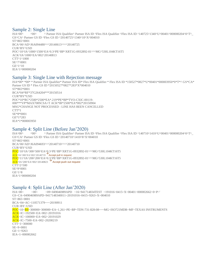# Sample 2: Single Line

^ Partner ISA Qualifier^ Partner ISA ID ^Flex ISA Qualifier ^Flex ISA ID ^140725^1340^U^00401^000000204^0^T^\_ GS^CA^ Partner GS ID ^Flex GS ID ^20140725^1340^10^X^004010 ST^865^0001 BCA^06^AD^J6A094480^^^20140613^^^^20140725 CUR^BY^USD POC^10^IA^1000^1500^EA^0.3^PE^BP^XRT1G-0932892-01^^^MG^530L104KT16T5 ACK^IA^1000^EA^002^20140813 CTT^1^1000 SE^7^0001 GE^1^10 IEA^1^000000204

# Sample 3: Single Line with Rejection message

ISA\*00\* \*00\* \* Partner ISA Qualifier\* Partner ISA ID\* Flex ISA Qualifier \* Flex ISA ID \*150527\*0827\*U\*00401\*000003950\*0\*T\*^ GS\*CA\* Partner GS ID \* Flex GS ID \*20150527\*0827\*283\*X\*004010 ST\*865\*0001 BCA\*04\*RF\*37G264204\*\*\*20150514 CUR\*BY\*USD POC\*10\*RC\*2500\*2500\*EA\*.219\*PE\*BP\*TVO-CXIC-00119- 000\*\*\*VP\*MAX708SCSA+T ACK\*IR\*2500\*EA\*002\*20150904 MSG\*CHANGE NOT PROCESSED - LINE HAS BEEN CANCELLED CTT\*1 SE\*8\*0001 GE\*1\*283 IEA\*1\*000003950

# Sample 4: Split Line (Before Jan'2020)

ISA^00^ ^ 00^ ^ Partner ISA Qualifier^ Partner ISA ID ^Flex ISA Qualifier ^Flex ISA ID ^140710^1410^U^00401^000000204^0^T^\_ GS^CA^ Partner GS ID ^Flex GS ID ^20140710^1410^8^X^004010 ST^865^0001 BCA^06^AD^J6A094693^^^20140710^^^^20140710 CUR^BY^USD POC^10^IA^300^500^EA^0.3^PE^BP^XRT1G-0932892-01^^^MG^530L104KT16T5 ACK^IA^300^EA^002^20140719 →Accept pull in request POC^11^IA^200^200^EA^0.3^PE^BP^XRT1G-0932892-01^^^MG^530L104KT16T5<br><mark>ACK</mark>^IA^200^EA^002^20140823 → Accept push out request CTT^2^500 SE^9^0001  $GF^{\wedge}1^{\wedge}8$ IEA^1^000000204

# Sample 4: Split Line (After Jan'2020)

ISA~00~ ~00~ ~09~049046989APD ~16~941714834TEST ~191016~0415~X~00401~000002662~0~P~' GS~CA~049046989APD~9417148340011~20191016~0415~9263~X~004010 ST~865~0001 BCA~04~AC~110571379~~~20190911 CUR~BY~USD POC~10~RS~300000~300000~EA~1.261~PE~BP~TDN-731-828-08~~~MG~ISO721MDR~MF~TEXAS INSTRUMENTS ACK~IC~192500~EA~002~20191016 ACK~IC~100000~EA~002~20191029 ACK~IC~7500~EA~002~20200219 CTT~1~300000 SE~9~0001  $GF~1~~9263$ IEA~1~000002662